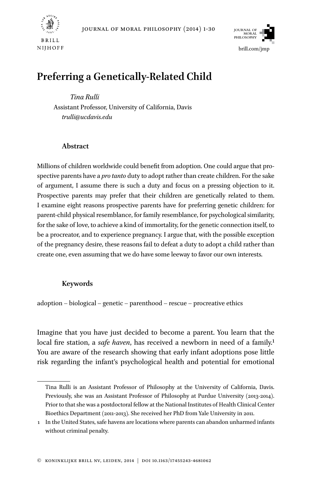



# **Preferring a Genetically-Related Child**

*Tina Rulli* Assistant Professor, University of California, Davis *trulli@ucdavis.edu*

## **Abstract**

Millions of children worldwide could benefit from adoption. One could argue that prospective parents have a *pro tanto* duty to adopt rather than create children. For the sake of argument, I assume there is such a duty and focus on a pressing objection to it. Prospective parents may prefer that their children are genetically related to them. I examine eight reasons prospective parents have for preferring genetic children: for parent-child physical resemblance, for family resemblance, for psychological similarity, for the sake of love, to achieve a kind of immortality, for the genetic connection itself, to be a procreator, and to experience pregnancy. I argue that, with the possible exception of the pregnancy desire, these reasons fail to defeat a duty to adopt a child rather than create one, even assuming that we do have some leeway to favor our own interests.

## **Keywords**

adoption – biological – genetic – parenthood – rescue – procreative ethics

Imagine that you have just decided to become a parent. You learn that the local fire station, a *safe haven*, has received a newborn in need of a family.<sup>1</sup> You are aware of the research showing that early infant adoptions pose little risk regarding the infant's psychological health and potential for emotional

Tina Rulli is an Assistant Professor of Philosophy at the University of California, Davis. Previously, she was an Assistant Professor of Philosophy at Purdue University (2013-2014). Prior to that she was a postdoctoral fellow at the National Institutes of Health Clinical Center Bioethics Department (2011-2013). She received her PhD from Yale University in 2011.

<sup>1</sup> In the United States, safe havens are locations where parents can abandon unharmed infants without criminal penalty.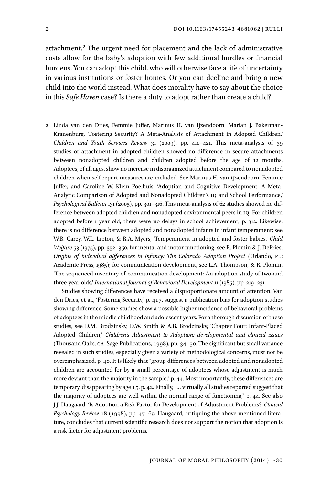attachment.2 The urgent need for placement and the lack of administrative costs allow for the baby's adoption with few additional hurdles or financial burdens. You can adopt this child, who will otherwise face a life of uncertainty in various institutions or foster homes. Or you can decline and bring a new child into the world instead. What does morality have to say about the choice in this *Safe Haven* case? Is there a duty to adopt rather than create a child?

2 Linda van den Dries, Femmie Juffer, Marinus H. van Ijzendoorn, Marian J. Bakerman-Kranenburg, 'Fostering Security? A Meta-Analysis of Attachment in Adopted Children,' *Children and Youth Services Review* 31 (2009), pp. 410–421. This meta-analysis of 39 studies of attachment in adopted children showed no difference in secure attachments between nonadopted children and children adopted before the age of 12 months. Adoptees, of all ages, show no increase in disorganized attachment compared to nonadopted children when self-report measures are included. See Marinus H. van ijzendoorn, Femmie Juffer, and Caroline W. Klein Poelhuis, 'Adoption and Cognitive Development: A Meta-Analytic Comparison of Adopted and Nonadopted Children's iq and School Performance,' *Psychological Bulletin* 131 (2005), pp. 301–316. This meta-analysis of 62 studies showed no difference between adopted children and nonadopted environmental peers in 10. For children adopted before 1 year old, there were no delays in school achievement, p. 312. Likewise, there is no difference between adopted and nonadopted infants in infant temperament; see W.B. Carey, W.L. Lipton, & R.A. Myers, 'Temperament in adopted and foster babies,' *Child Welfare* 53 (1975), pp. 352–350; for mental and motor functioning, see R. Plomin & J. DeFries, *Origins of individual differences in infancy: The Colorado Adoption Project* (Orlando, fl: Academic Press, 1985); for communication development, see L.A. Thompson, & R. Plomin, 'The sequenced inventory of communication development: An adoption study of two-and three-year-olds,' *International Journal of Behavioral Development* 11 (1985), pp. 219–231.

Studies showing differences have received a disproportionate amount of attention. Van den Dries, et al., 'Fostering Security,' p. 417, suggest a publication bias for adoption studies showing difference. Some studies show a possible higher incidence of behavioral problems of adoptees in the middle childhood and adolescent years. For a thorough discussion of these studies, see D.M. Brodzinsky, D.W. Smith & A.B. Brodzinsky, 'Chapter Four: Infant-Placed Adopted Children,' *Children's Adjustment to Adoption: developmental and clinical issues* (Thousand Oaks, ca: Sage Publications, 1998), pp. 34–50. The significant but small variance revealed in such studies, especially given a variety of methodological concerns, must not be overemphasized, p. 40. It is likely that "group differences between adopted and nonadopted children are accounted for by a small percentage of adoptees whose adjustment is much more deviant than the majority in the sample," p. 44. Most importantly, these differences are temporary, disappearing by age 15, p. 42. Finally, "… virtually all studies reported suggest that the majority of adoptees are well within the normal range of functioning," p. 44. See also J.J. Haugaard, 'Is Adoption a Risk Factor for Development of Adjustment Problems?' *Clinical Psychology Review* 18 (1998), pp. 47–69. Haugaard, critiquing the above-mentioned literature, concludes that current scientific research does not support the notion that adoption is a risk factor for adjustment problems.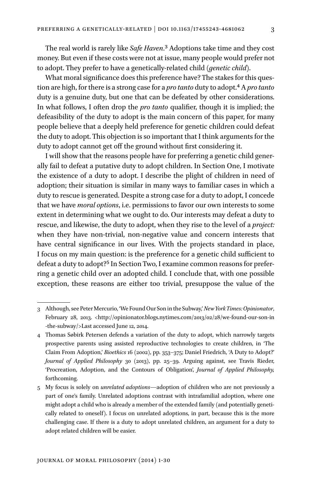The real world is rarely like *Safe Haven*.3 Adoptions take time and they cost money. But even if these costs were not at issue, many people would prefer not to adopt. They prefer to have a genetically-related child *(genetic child)*.

What moral significance does this preference have? The stakes for this question are high, for there is a strong case for a *pro tanto* duty to adopt.4 A *pro tanto* duty is a genuine duty, but one that can be defeated by other considerations. In what follows, I often drop the *pro tanto* qualifier, though it is implied; the defeasibility of the duty to adopt is the main concern of this paper, for many people believe that a deeply held preference for genetic children could defeat the duty to adopt. This objection is so important that I think arguments for the duty to adopt cannot get off the ground without first considering it.

I will show that the reasons people have for preferring a genetic child generally fail to defeat a putative duty to adopt children. In Section One, I motivate the existence of a duty to adopt. I describe the plight of children in need of adoption; their situation is similar in many ways to familiar cases in which a duty to rescue is generated. Despite a strong case for a duty to adopt, I concede that we have *moral options*, i.e. permissions to favor our own interests to some extent in determining what we ought to do. Our interests may defeat a duty to rescue, and likewise, the duty to adopt, when they rise to the level of a *project:* when they have non-trivial, non-negative value and concern interests that have central significance in our lives. With the projects standard in place, I focus on my main question: is the preference for a genetic child sufficient to defeat a duty to adopt?<sup>5</sup> In Section Two, I examine common reasons for preferring a genetic child over an adopted child. I conclude that, with one possible exception, these reasons are either too trivial, presuppose the value of the

<sup>3</sup> Although, see Peter Mercurio, 'We Found Our Son in the Subway,' *New York Times: Opinionator*, February 28, 2013. <[http://opinionator.blogs.nytimes.com/2013/02/28/we-found-our-son-in](http://opinionator.blogs.nytimes.com/2013/02/28/we-found-our-son-in-the-subway/) [-the-subway/>](http://opinionator.blogs.nytimes.com/2013/02/28/we-found-our-son-in-the-subway/)Last accessed June 12, 2014.

<sup>4</sup> Thomas Søbirk Petersen defends a variation of the duty to adopt, which narrowly targets prospective parents using assisted reproductive technologies to create children, in 'The Claim From Adoption,' *Bioethics* 16 (2002), pp. 353–375; Daniel Friedrich, 'A Duty to Adopt?' *Journal of Applied Philosophy* 30 (2013), pp. 25–39. Arguing against, see Travis Rieder, 'Procreation, Adoption, and the Contours of Obligation', *Journal of Applied Philosophy,* forthcoming.

<sup>5</sup> My focus is solely on *unrelated adoptions—*adoption of children who are not previously a part of one's family. Unrelated adoptions contrast with intrafamilial adoption, where one might adopt a child who is already a member of the extended family (and potentially genetically related to oneself). I focus on unrelated adoptions, in part, because this is the more challenging case. If there is a duty to adopt unrelated children, an argument for a duty to adopt related children will be easier.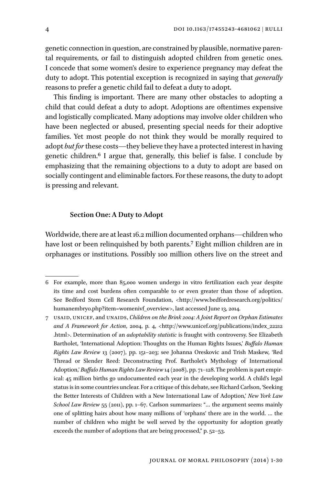genetic connection in question, are constrained by plausible, normative parental requirements, or fail to distinguish adopted children from genetic ones. I concede that some women's desire to experience pregnancy may defeat the duty to adopt. This potential exception is recognized in saying that *generally* reasons to prefer a genetic child fail to defeat a duty to adopt.

This finding is important. There are many other obstacles to adopting a child that could defeat a duty to adopt. Adoptions are oftentimes expensive and logistically complicated. Many adoptions may involve older children who have been neglected or abused, presenting special needs for their adoptive families. Yet most people do not think they would be morally required to adopt *but for* these costs—they believe they have a protected interest in having genetic children.6 I argue that, generally, this belief is false. I conclude by emphasizing that the remaining objections to a duty to adopt are based on socially contingent and eliminable factors. For these reasons, the duty to adopt is pressing and relevant.

#### **Section One: A Duty to Adopt**

Worldwide, there are at least 16.2 million documented orphans—children who have lost or been relinquished by both parents.<sup>7</sup> Eight million children are in orphanages or institutions. Possibly 100 million others live on the street and

<sup>6</sup> For example, more than 85,000 women undergo in vitro fertilization each year despite its time and cost burdens often comparable to or even greater than those of adoption. See Bedford Stem Cell Research Foundation, [<http://www.bedfordresearch.org/politic](http://www.bedfordresearch.org/politics/humanembryo.php?item=womenivf_overview)s/ [humanembryo.php?item=womenivf\\_overview](http://www.bedfordresearch.org/politics/humanembryo.php?item=womenivf_overview)>, last accessed June 13, 2014.

<sup>7</sup> usaid, unicef, and unaids, *Children on the Brink 2004: A Joint Report on Orphan Estimates and A Framework for Action*, 2004, p. 4, [<http://www.unicef.org/publications/index\\_22212](http://www.unicef.org/publications/index_22212.html) [.html>](http://www.unicef.org/publications/index_22212.html). Determination of an *adoptability statistic* is fraught with controversy. See Elizabeth Bartholet, 'International Adoption: Thoughts on the Human Rights Issues,' *Buffalo Human Rights Law Review* 13 (2007), pp. 151–203; see Johanna Oreskovic and Trish Maskew, 'Red Thread or Slender Reed: Deconstructing Prof. Bartholet's Mythology of International Adoption,' *Buffalo Human Rights Law Review* 14 (2008), pp. 71–128. The problem is part empirical: 45 million births go undocumented each year in the developing world. A child's legal status is in some countries unclear. For a critique of this debate, see Richard Carlson, 'Seeking the Better Interests of Children with a New International Law of Adoption,' *New York Law School Law Review* 55 (2011), pp. 1–67. Carlson summarizes: "… the argument seems mainly one of splitting hairs about how many millions of 'orphans' there are in the world. … the number of children who might be well served by the opportunity for adoption greatly exceeds the number of adoptions that are being processed," p. 52–53.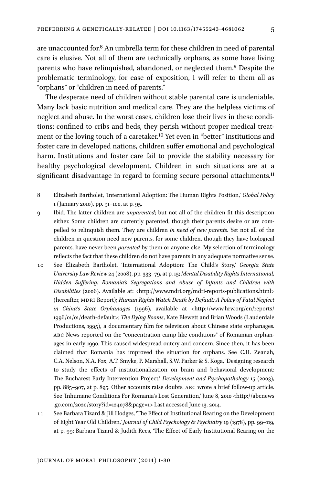are unaccounted for.8 An umbrella term for these children in need of parental care is elusive. Not all of them are technically orphans, as some have living parents who have relinquished, abandoned, or neglected them.<sup>9</sup> Despite the problematic terminology, for ease of exposition, I will refer to them all as "orphans" or "children in need of parents."

The desperate need of children without stable parental care is undeniable. Many lack basic nutrition and medical care. They are the helpless victims of neglect and abuse. In the worst cases, children lose their lives in these conditions; confined to cribs and beds, they perish without proper medical treatment or the loving touch of a caretaker.10 Yet even in "better" institutions and foster care in developed nations, children suffer emotional and psychological harm. Institutions and foster care fail to provide the stability necessary for healthy psychological development. Children in such situations are at a significant disadvantage in regard to forming secure personal attachments.<sup>11</sup>

- 9 Ibid. The latter children are *unparented*; but not all of the children fit this description either. Some children are currently parented, though their parents desire or are compelled to relinquish them. They are children *in need of new parents*. Yet not all of the children in question need new parents, for some children, though they have biological parents, have never been *parented* by them or anyone else. My selection of terminology reflects the fact that these children do not have parents in any adequate normative sense.
- 10 See Elizabeth Bartholet, 'International Adoption: The Child's Story,' *Georgia State University Law Review* 24 (2008), pp. 333–79, at p. 15; *Mental Disability Rights International, Hidden Suffering: Romania's Segregations and Abuse of Infants and Children with Disabilities* (2006). Available at: <[http://www.mdri.org/mdri-reports-publications.html>](http://www.mdri.org/mdri-reports-publications.html) (hereafter, MDRI Report); *Human Rights Watch Death by Default: A Policy of Fatal Neglect in China's State Orphanages* (1996), available at [<http://www.hrw.org/en/reports/](http://www.hrw.org/en/reports/1996/01/01/death-default) [1996/01/01/death-default](http://www.hrw.org/en/reports/1996/01/01/death-default)>; *The Dying Rooms*, Kate Blewett and Brian Woods (Lauderdale Productions, 1995), a documentary film for television about Chinese state orphanages. abc News reported on the "concentration camp like conditions" of Romanian orphanages in early 1990. This caused widespread outcry and concern. Since then, it has been claimed that Romania has improved the situation for orphans. See C.H. Zeanah, C.A. Nelson, N.A. Fox, A.T. Smyke, P. Marshall, S.W. Parker & S. Koga, 'Designing research to study the effects of institutionalization on brain and behavioral development: The Bucharest Early Intervention Project,' *Development and Psychopathology* 15 (2003), pp. 885–907, at p. 895. Other accounts raise doubts. abc wrote a brief follow-up article. See 'Inhumane Conditions For Romania's Lost Generation,' June 8, 2010 <[http://abcnews](http://abcnews.go.com/2020/story?id=124078&page=1) [.go.com/2020/story?id=124078&page=1>](http://abcnews.go.com/2020/story?id=124078&page=1) Last accessed June 13, 2014.
- 11 See Barbara Tizard & Jill Hodges, 'The Effect of Institutional Rearing on the Development of Eight Year Old Children,' *Journal of Child Psychology & Psychiatry* 19 (1978), pp. 99–119, at p. 99; Barbara Tizard & Judith Rees, 'The Effect of Early Institutional Rearing on the

<sup>8</sup> Elizabeth Bartholet, 'International Adoption: The Human Rights Position,' *Global Policy* 1 (January 2010), pp. 91–100, at p. 95.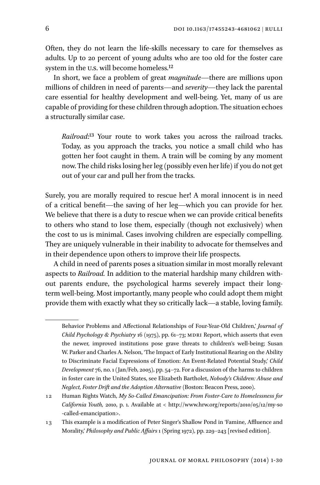Often, they do not learn the life-skills necessary to care for themselves as adults. Up to 20 percent of young adults who are too old for the foster care system in the u.s. will become homeless.12

In short, we face a problem of great *magnitude*—there are millions upon millions of children in need of parents—and *severity*—they lack the parental care essential for healthy development and well-being. Yet, many of us are capable of providing for these children through adoption. The situation echoes a structurally similar case.

*Railroad*:13 Your route to work takes you across the railroad tracks. Today, as you approach the tracks, you notice a small child who has gotten her foot caught in them. A train will be coming by any moment now. The child risks losing her leg (possibly even her life) if you do not get out of your car and pull her from the tracks.

Surely, you are morally required to rescue her! A moral innocent is in need of a critical benefit—the saving of her leg—which you can provide for her. We believe that there is a duty to rescue when we can provide critical benefits to others who stand to lose them, especially (though not exclusively) when the cost to us is minimal. Cases involving children are especially compelling. They are uniquely vulnerable in their inability to advocate for themselves and in their dependence upon others to improve their life prospects.

A child in need of parents poses a situation similar in most morally relevant aspects to *Railroad.* In addition to the material hardship many children without parents endure, the psychological harms severely impact their longterm well-being. Most importantly, many people who could adopt them might provide them with exactly what they so critically lack—a stable, loving family.

Behavior Problems and Affectional Relationships of Four-Year-Old Children,' *Journal of Child Psychology & Psychiatry* 16 (1975), pp. 61-73; MDRI Report, which asserts that even the newer, improved institutions pose grave threats to children's well-being; Susan W. Parker and Charles A. Nelson, 'The Impact of Early Institutional Rearing on the Ability to Discriminate Facial Expressions of Emotion: An Event-Related Potential Study,' *Child Development* 76, no. 1 (Jan/Feb, 2005), pp. 54–72. For a discussion of the harms to children in foster care in the United States, see Elizabeth Bartholet, *Nobody's Children: Abuse and Neglect, Foster Drift and the Adoption Alternative* (Boston: Beacon Press, 2000).

<sup>12</sup> Human Rights Watch, *My So-Called Emancipation: From Foster-Care to Homelessness for California Youth,* 2010, p. 1. Available at < [http://www.hrw.org/reports/2010/05/12/my-so](http://www.hrw.org/reports/2010/05/12/my-so-called-emancipation) [-called-emancipation](http://www.hrw.org/reports/2010/05/12/my-so-called-emancipation)>.

<sup>13</sup> This example is a modification of Peter Singer's Shallow Pond in 'Famine, Affluence and Morality,' *Philosophy and Public Affairs* 1 (Spring 1972), pp. 229–243 [revised edition].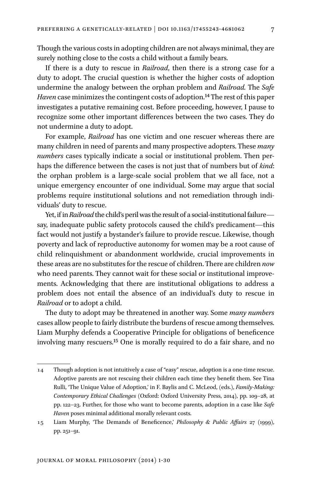Though the various costs in adopting children are not always minimal, they are surely nothing close to the costs a child without a family bears.

If there is a duty to rescue in *Railroad*, then there is a strong case for a duty to adopt. The crucial question is whether the higher costs of adoption undermine the analogy between the orphan problem and *Railroad.* The *Safe Haven* case minimizes the contingent costs of adoption.14 The rest of this paper investigates a putative remaining cost. Before proceeding, however, I pause to recognize some other important differences between the two cases. They do not undermine a duty to adopt.

For example, *Railroad* has one victim and one rescuer whereas there are many children in need of parents and many prospective adopters. These *many numbers* cases typically indicate a social or institutional problem. Then perhaps the difference between the cases is not just that of numbers but of *kind*: the orphan problem is a large-scale social problem that we all face, not a unique emergency encounter of one individual. Some may argue that social problems require institutional solutions and not remediation through individuals' duty to rescue.

Yet, if in *Railroad* the child's peril was the result of a social-institutional failure say, inadequate public safety protocols caused the child's predicament—this fact would not justify a bystander's failure to provide rescue. Likewise, though poverty and lack of reproductive autonomy for women may be a root cause of child relinquishment or abandonment worldwide, crucial improvements in these areas are no substitutes for the rescue of children. There are children *now* who need parents. They cannot wait for these social or institutional improvements. Acknowledging that there are institutional obligations to address a problem does not entail the absence of an individual's duty to rescue in *Railroad* or to adopt a child.

The duty to adopt may be threatened in another way. Some *many numbers* cases allow people to fairly distribute the burdens of rescue among themselves. Liam Murphy defends a Cooperative Principle for obligations of beneficence involving many rescuers.15 One is morally required to do a fair share, and no

<sup>14</sup> Though adoption is not intuitively a case of "easy" rescue, adoption is a one-time rescue. Adoptive parents are not rescuing their children each time they benefit them. See Tina Rulli, 'The Unique Value of Adoption,' in F. Baylis and C. McLeod, (eds.), *Family-Making: Contemporary Ethical Challenges* (Oxford: Oxford University Press, 2014), pp. 109–28, at pp. 122–23. Further, for those who want to become parents, adoption in a case like *Safe Haven* poses minimal additional morally relevant costs.

<sup>15</sup> Liam Murphy, 'The Demands of Beneficence,' *Philosophy & Public Affairs* 27 (1999), pp. 251–91.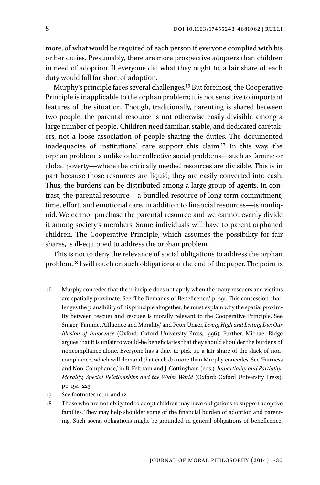more, of what would be required of each person if everyone complied with his or her duties. Presumably, there are more prospective adopters than children in need of adoption. If everyone did what they ought to, a fair share of each duty would fall far short of adoption.

Murphy's principle faces several challenges.<sup>16</sup> But foremost, the Cooperative Principle is inapplicable to the orphan problem; it is not sensitive to important features of the situation. Though, traditionally, parenting is shared between two people, the parental resource is not otherwise easily divisible among a large number of people. Children need familiar, stable, and dedicated caretakers, not a loose association of people sharing the duties. The documented inadequacies of institutional care support this claim.17 In this way, the orphan problem is unlike other collective social problems—such as famine or global poverty—where the critically needed resources are divisible. This is in part because those resources are liquid; they are easily converted into cash. Thus, the burdens can be distributed among a large group of agents. In contrast, the parental resource—a bundled resource of long-term commitment, time, effort, and emotional care, in addition to financial resources—is nonliquid. We cannot purchase the parental resource and we cannot evenly divide it among society's members. Some individuals will have to parent orphaned children. The Cooperative Principle, which assumes the possibility for fair shares, is ill-equipped to address the orphan problem.

This is not to deny the relevance of social obligations to address the orphan problem.<sup>18</sup> I will touch on such obligations at the end of the paper. The point is

- 17 See footnotes 10, 11, and 12.
- 18 Those who are not obligated to adopt children may have obligations to support adoptive families. They may help shoulder some of the financial burden of adoption and parenting. Such social obligations might be grounded in general obligations of beneficence,

<sup>16</sup> Murphy concedes that the principle does not apply when the many rescuers and victims are spatially proximate. See 'The Demands of Beneficence,' p. 291. This concession challenges the plausibility of his principle altogether; he must explain why the spatial proximity between rescuer and rescuee is morally relevant to the Cooperative Principle. See Singer, 'Famine, Affluence and Morality,' and Peter Unger, *Living High and Letting Die: Our Illusion of Innocence* (Oxford: Oxford University Press, 1996). Further, Michael Ridge argues that it is unfair to would-be beneficiaries that they should shoulder the burdens of noncompliance alone. Everyone has a duty to pick up a fair share of the slack of noncompliance, which will demand that each do more than Murphy concedes. See 'Fairness and Non-Compliance,' in B. Feltham and J. Cottingham (eds.), *Impartiality and Partiality: Morality, Special Relationships and the Wider World* (Oxford: Oxford University Press), pp. 194–223.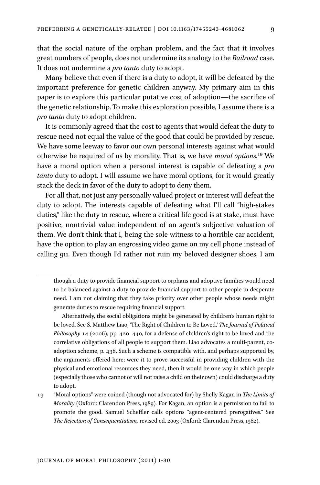that the social nature of the orphan problem, and the fact that it involves great numbers of people, does not undermine its analogy to the *Railroad* case. It does not undermine a *pro tanto* duty to adopt.

Many believe that even if there is a duty to adopt, it will be defeated by the important preference for genetic children anyway. My primary aim in this paper is to explore this particular putative cost of adoption—the sacrifice of the genetic relationship. To make this exploration possible, I assume there is a *pro tanto* duty to adopt children.

It is commonly agreed that the cost to agents that would defeat the duty to rescue need not equal the value of the good that could be provided by rescue. We have some leeway to favor our own personal interests against what would otherwise be required of us by morality. That is, we have *moral options.*19 We have a moral option when a personal interest is capable of defeating a *pro tanto* duty to adopt. I will assume we have moral options, for it would greatly stack the deck in favor of the duty to adopt to deny them.

For all that, not just any personally valued project or interest will defeat the duty to adopt. The interests capable of defeating what I'll call "high-stakes duties," like the duty to rescue*,* where a critical life good is at stake, must have positive, nontrivial value independent of an agent's subjective valuation of them. We don't think that I, being the sole witness to a horrible car accident, have the option to play an engrossing video game on my cell phone instead of calling 911. Even though I'd rather not ruin my beloved designer shoes, I am

though a duty to provide financial support to orphans and adoptive families would need to be balanced against a duty to provide financial support to other people in desperate need. I am not claiming that they take priority over other people whose needs might generate duties to rescue requiring financial support.

Alternatively, the social obligations might be generated by children's human right to be loved. See S. Matthew Liao, 'The Right of Children to Be Loved,' *The Journal of Political Philosophy* 14 (2006), pp. 420–440, for a defense of children's right to be loved and the correlative obligations of all people to support them. Liao advocates a multi-parent, coadoption scheme, p. 438. Such a scheme is compatible with, and perhaps supported by, the arguments offered here; were it to prove successful in providing children with the physical and emotional resources they need, then it would be one way in which people (especially those who cannot or will not raise a child on their own) could discharge a duty to adopt.

<sup>19</sup> "Moral options" were coined (though not advocated for) by Shelly Kagan in *The Limits of Morality* (Oxford: Clarendon Press, 1989)*.* For Kagan, an option is a permission to fail to promote the good. Samuel Scheffler calls options "agent-centered prerogatives." See *The Rejection of Consequentialism,* revised ed. 2003 (Oxford: Clarendon Press, 1982).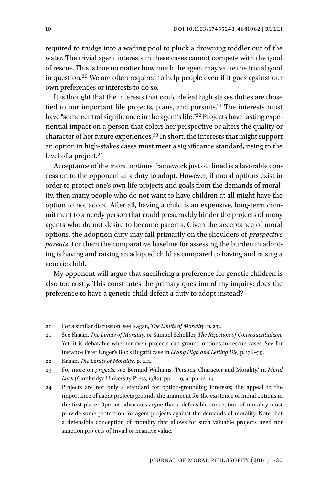required to trudge into a wading pool to pluck a drowning toddler out of the water. The trivial agent interests in these cases cannot compete with the good of rescue. This is true no matter how much the agent may value the trivial good in question.20 We are often required to help people even if it goes against our own preferences or interests to do so.

It is thought that the interests that could defeat high stakes duties are those tied to our important life projects, plans, and pursuits.21 The interests must have "some central significance in the agent's life."<sup>22</sup> Projects have lasting experiential impact on a person that colors her perspective or alters the quality or character of her future experiences.23 In short, the interests that might support an option in high-stakes cases must meet a significance standard, rising to the level of a project.24

Acceptance of the moral options framework just outlined is a favorable concession to the opponent of a duty to adopt. However, if moral options exist in order to protect one's own life projects and goals from the demands of morality, then many people who do not want to have children at all might have the option to not adopt. After all, having a child is an expensive, long-term commitment to a needy person that could presumably hinder the projects of many agents who do not desire to become parents. Given the acceptance of moral options, the adoption duty may fall primarily on the shoulders of *prospective parents*. For them the comparative baseline for assessing the burden in adopting is having and raising an adopted child as compared to having and raising a genetic child.

My opponent will argue that sacrificing a preference for genetic children is also too costly. This constitutes the primary question of my inquiry: does the preference to have a genetic child defeat a duty to adopt instead?

<sup>20</sup> For a similar discussion, see Kagan, *The Limits of Morality*, p. 231.

<sup>21</sup> See Kagan, *The Limits of Morality,* or Samuel Scheffler, *The Rejection of Consequentialism.* Yet, it is debatable whether even projects can ground options in rescue cases. See for instance Peter Unger's Bob's Bugatti case in *Living High and Letting Die,* p. 136–39.

<sup>22</sup> Kagan, *The Limits of Morality*, p. 241.

<sup>23</sup> For more on *projects,* see Bernard Williams, 'Persons, Character and Morality,' in *Moral Luck* (Cambridge University Press, 1982), pp. 1–19, at pp. 12–14.

<sup>24</sup> Projects are not only a standard for option-grounding interests; the appeal to the importance of agent projects grounds the argument for the existence of moral options in the first place. Options-advocates argue that a defensible conception of morality must provide some protection for agent projects against the demands of morality. Note that a defensible conception of morality that allows for such valuable projects need not sanction projects of trivial or negative value.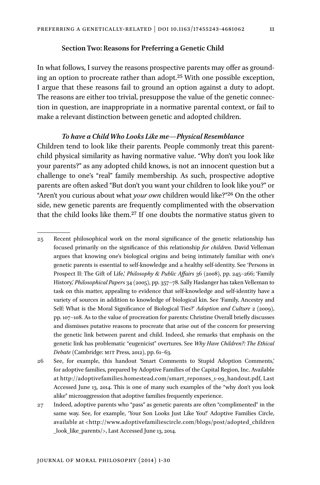#### **Section Two: Reasons for Preferring a Genetic Child**

In what follows, I survey the reasons prospective parents may offer as grounding an option to procreate rather than adopt.25 With one possible exception, I argue that these reasons fail to ground an option against a duty to adopt. The reasons are either too trivial, presuppose the value of the genetic connection in question, are inappropriate in a normative parental context, or fail to make a relevant distinction between genetic and adopted children.

#### *To have a Child Who Looks Like me—Physical Resemblance*

Children tend to look like their parents. People commonly treat this parentchild physical similarity as having normative value. "Why don't you look like your parents?" as any adopted child knows, is not an innocent question but a challenge to one's "real" family membership. As such, prospective adoptive parents are often asked "But don't you want your children to look like you?" or "Aren't you curious about what *your own* children would like?"26 On the other side, new genetic parents are frequently complimented with the observation that the child looks like them.27 If one doubts the normative status given to

<sup>25</sup> Recent philosophical work on the moral significance of the genetic relationship has focused primarily on the significance of this relationship *for children.* David Velleman argues that knowing one's biological origins and being intimately familiar with one's genetic parents is essential to self-knowledge and a healthy self-identity. See 'Persons in Prospect II: The Gift of Life,' *Philosophy & Public Affairs* 36 (2008), pp. 245–266; 'Family History,' *Philosophical Papers* 34 (2005), pp. 357–78. Sally Haslanger has taken Velleman to task on this matter, appealing to evidence that self-knowledge and self-identity have a variety of sources in addition to knowledge of biological kin. See 'Family, Ancestry and Self: What is the Moral Significance of Biological Ties?' *Adoption and Culture* 2 (2009), pp. 107–108. As to the value of procreation for parents: Christine Overall briefly discusses and dismisses putative reasons to procreate that arise out of the concern for preserving the genetic link between parent and child. Indeed, she remarks that emphasis on the genetic link has problematic "eugenicist" overtures. See *Why Have Children?: The Ethical Debate* (Cambridge: mit Press, 2012), pp. 61–63.

<sup>26</sup> See, for example, this handout 'Smart Comments to Stupid Adoption Comments,' for adoptive families, prepared by Adoptive Families of the Capital Region, Inc. Available at [http://adoptivefamilies.homestead.com/smart\\_reponses\\_1-09\\_handout.pdf,](http://adoptivefamilies.homestead.com/smart_reponses_1-09_handout.pdf) Last Accessed June 13, 2014. This is one of many such examples of the "why don't you look alike" microaggression that adoptive families frequently experience.

<sup>27</sup> Indeed, adoptive parents who "pass" as genetic parents are often "complimented" in the same way. See, for example, 'Your Son Looks Just Like You!' Adoptive Families Circle, available at <[http://www.adoptivefamiliescircle.com/blogs/post/adopted\\_children](http://www.adoptivefamiliescircle.com/blogs/post/adopted_children_look_like_parents/) [\\_look\\_like\\_parents/>](http://www.adoptivefamiliescircle.com/blogs/post/adopted_children_look_like_parents/), Last Accessed June 13, 2014.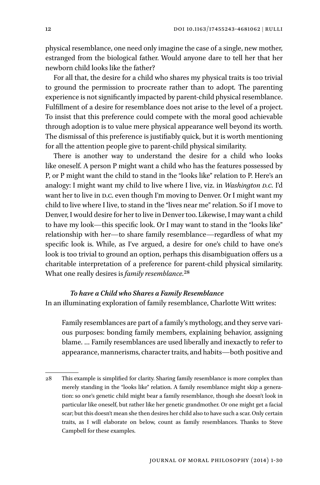physical resemblance, one need only imagine the case of a single, new mother, estranged from the biological father. Would anyone dare to tell her that her newborn child looks like the father?

For all that, the desire for a child who shares my physical traits is too trivial to ground the permission to procreate rather than to adopt*.* The parenting experience is not significantly impacted by parent-child physical resemblance. Fulfillment of a desire for resemblance does not arise to the level of a project. To insist that this preference could compete with the moral good achievable through adoption is to value mere physical appearance well beyond its worth. The dismissal of this preference is justifiably quick, but it is worth mentioning for all the attention people give to parent-child physical similarity.

There is another way to understand the desire for a child who looks like oneself. A person P might want a child who has the features possessed by P, or P might want the child to stand in the "looks like" relation to P. Here's an analogy: I might want my child to live where I live, viz. in *Washington D.C.* I'd want her to live in D.C. even though I'm moving to Denver. Or I might want my child to live where I live, to stand in the "lives near me" relation. So if I move to Denver, I would desire for her to live in Denver too. Likewise, I may want a child to have my look—this specific look. Or I may want to stand in the "looks like" relationship with her—to share family resemblance—regardless of what my specific look is. While, as I've argued, a desire for one's child to have one's look is too trivial to ground an option, perhaps this disambiguation offers us a charitable interpretation of a preference for parent-child physical similarity. What one really desires is *family resemblance.*28

# *To have a Child who Shares a Family Resemblance*

In an illuminating exploration of family resemblance, Charlotte Witt writes:

Family resemblances are part of a family's mythology, and they serve various purposes: bonding family members, explaining behavior, assigning blame. … Family resemblances are used liberally and inexactly to refer to appearance, mannerisms, character traits, and habits—both positive and

<sup>28</sup> This example is simplified for clarity. Sharing family resemblance is more complex than merely standing in the "looks like" relation. A family resemblance might skip a generation: so one's genetic child might bear a family resemblance, though she doesn't look in particular like oneself, but rather like her genetic grandmother. Or one might get a facial scar; but this doesn't mean she then desires her child also to have such a scar. Only certain traits, as I will elaborate on below, count as family resemblances. Thanks to Steve Campbell for these examples.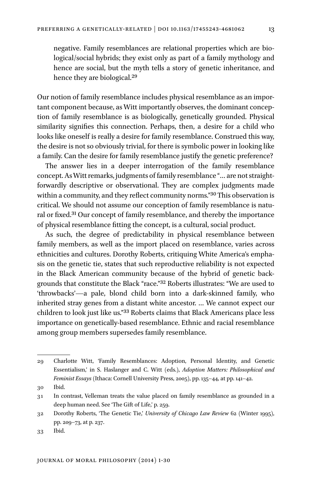negative. Family resemblances are relational properties which are biological/social hybrids; they exist only as part of a family mythology and hence are social, but the myth tells a story of genetic inheritance, and hence they are biological.<sup>29</sup>

Our notion of family resemblance includes physical resemblance as an important component because, as Witt importantly observes, the dominant conception of family resemblance is as biologically, genetically grounded. Physical similarity signifies this connection. Perhaps, then, a desire for a child who looks like oneself is really a desire for family resemblance. Construed this way, the desire is not so obviously trivial, for there is symbolic power in looking like a family. Can the desire for family resemblance justify the genetic preference?

The answer lies in a deeper interrogation of the family resemblance concept. As Witt remarks, judgments of family resemblance "… are not straightforwardly descriptive or observational. They are complex judgments made within a community, and they reflect community norms."<sup>30</sup> This observation is critical. We should not assume our conception of family resemblance is natural or fixed.<sup>31</sup> Our concept of family resemblance, and thereby the importance of physical resemblance fitting the concept, is a cultural, social product.

As such, the degree of predictability in physical resemblance between family members, as well as the import placed on resemblance, varies across ethnicities and cultures. Dorothy Roberts, critiquing White America's emphasis on the genetic tie, states that such reproductive reliability is not expected in the Black American community because of the hybrid of genetic backgrounds that constitute the Black "race."32 Roberts illustrates: "We are used to 'throwbacks'—a pale, blond child born into a dark-skinned family, who inherited stray genes from a distant white ancestor. … We cannot expect our children to look just like us."33 Roberts claims that Black Americans place less importance on genetically-based resemblance. Ethnic and racial resemblance among group members supersedes family resemblance.

<sup>29</sup> Charlotte Witt, 'Family Resemblances: Adoption, Personal Identity, and Genetic Essentialism,' in S. Haslanger and C. Witt (eds.), *Adoption Matters: Philosophical and Feminist Essays* (Ithaca: Cornell University Press, 2005), pp. 135–44, at pp. 141–42.

<sup>30</sup> Ibid.

<sup>31</sup> In contrast, Velleman treats the value placed on family resemblance as grounded in a deep human need. See 'The Gift of Life,' p. 259.

<sup>32</sup> Dorothy Roberts, 'The Genetic Tie,' *University of Chicago Law Review* 62 (Winter 1995), pp. 209–73, at p. 237.

<sup>33</sup> Ibid.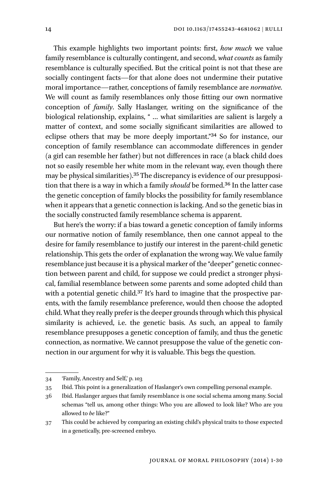This example highlights two important points: first, *how much* we value family resemblance is culturally contingent, and second, *what counts* as family resemblance is culturally specified. But the critical point is not that these are socially contingent facts—for that alone does not undermine their putative moral importance—rather, conceptions of family resemblance are *normative.* We will count as family resemblances only those fitting our own normative conception of *family*. Sally Haslanger, writing on the significance of the biological relationship, explains, " … what similarities are salient is largely a matter of context, and some socially significant similarities are allowed to eclipse others that may be more deeply important."34 So for instance, our conception of family resemblance can accommodate differences in gender (a girl can resemble her father) but not differences in race (a black child does not so easily resemble her white mom in the relevant way, even though there may be physical similarities).35 The discrepancy is evidence of our presupposition that there is a way in which a family *should* be formed.36 In the latter case the genetic conception of family blocks the possibility for family resemblance when it appears that a genetic connection is lacking. And so the genetic bias in the socially constructed family resemblance schema is apparent.

But here's the worry: if a bias toward a genetic conception of family informs our normative notion of family resemblance, then one cannot appeal to the desire for family resemblance to justify our interest in the parent-child genetic relationship. This gets the order of explanation the wrong way. We value family resemblance just because it is a physical marker of the "deeper" genetic connection between parent and child, for suppose we could predict a stronger physical, familial resemblance between some parents and some adopted child than with a potential genetic child.<sup>37</sup> It's hard to imagine that the prospective parents, with the family resemblance preference, would then choose the adopted child. What they really prefer is the deeper grounds through which this physical similarity is achieved, i.e. the genetic basis. As such, an appeal to family resemblance presupposes a genetic conception of family, and thus the genetic connection, as normative. We cannot presuppose the value of the genetic connection in our argument for why it is valuable. This begs the question.

<sup>34</sup> 'Family, Ancestry and Self,' p. 103

<sup>35</sup> Ibid. This point is a generalization of Haslanger's own compelling personal example.

<sup>36</sup> Ibid. Haslanger argues that family resemblance is one social schema among many. Social schemas "tell us, among other things: Who you are allowed to look like? Who are you allowed to *be* like?"

<sup>37</sup> This could be achieved by comparing an existing child's physical traits to those expected in a genetically, pre-screened embryo.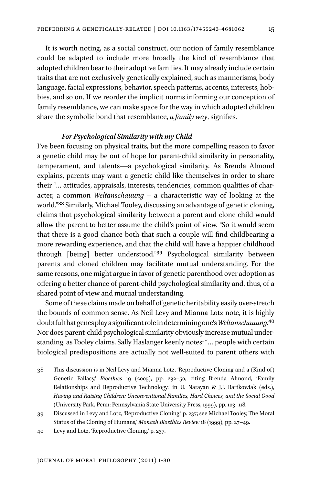It is worth noting, as a social construct, our notion of family resemblance could be adapted to include more broadly the kind of resemblance that adopted children bear to their adoptive families. It may already include certain traits that are not exclusively genetically explained, such as mannerisms, body language, facial expressions, behavior, speech patterns, accents, interests, hobbies, and so on. If we reorder the implicit norms informing our conception of family resemblance, we can make space for the way in which adopted children share the symbolic bond that resemblance, *a family way*, signifies.

#### *For Psychological Similarity with my Child*

I've been focusing on physical traits, but the more compelling reason to favor a genetic child may be out of hope for parent-child similarity in personality, temperament, and talents—a psychological similarity. As Brenda Almond explains, parents may want a genetic child like themselves in order to share their "… attitudes, appraisals, interests, tendencies, common qualities of character, a common *Weltanschauung* – a characteristic way of looking at the world."38 Similarly, Michael Tooley, discussing an advantage of genetic cloning, claims that psychological similarity between a parent and clone child would allow the parent to better assume the child's point of view. "So it would seem that there is a good chance both that such a couple will find childbearing a more rewarding experience, and that the child will have a happier childhood through [being] better understood."39 Psychological similarity between parents and cloned children may facilitate mutual understanding. For the same reasons, one might argue in favor of genetic parenthood over adoption as offering a better chance of parent-child psychological similarity and, thus, of a shared point of view and mutual understanding.

Some of these claims made on behalf of genetic heritability easily over-stretch the bounds of common sense. As Neil Levy and Mianna Lotz note, it is highly doubtful that genes play a significant role in determining one's *Weltanschauung.*40 Nor does parent-child psychological similarity obviously increase mutual understanding, as Tooley claims. Sally Haslanger keenly notes: "… people with certain biological predispositions are actually not well-suited to parent others with

<sup>38</sup> This discussion is in Neil Levy and Mianna Lotz, 'Reproductive Cloning and a (Kind of) Genetic Fallacy,' *Bioethics* 19 (2005), pp. 232–50, citing Brenda Almond, 'Family Relationships and Reproductive Technology,' in U. Narayan & J.J. Bartkowiak (eds.), *Having and Raising Children: Unconventional Families, Hard Choices, and the Social Good* (University Park, Penn: Pennsylvania State University Press, 1999), pp. 103–118.

<sup>39</sup> Discussed in Levy and Lotz, 'Reproductive Cloning,' p. 237; see Michael Tooley, The Moral Status of the Cloning of Humans,' *Monash Bioethics Review* 18 (1999), pp. 27–49.

<sup>40</sup> Levy and Lotz, 'Reproductive Cloning,' p. 237.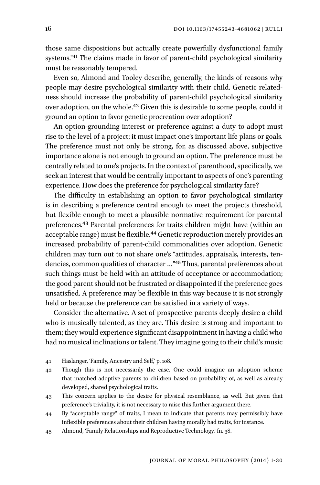those same dispositions but actually create powerfully dysfunctional family systems."41 The claims made in favor of parent-child psychological similarity must be reasonably tempered.

Even so, Almond and Tooley describe, generally, the kinds of reasons why people may desire psychological similarity with their child. Genetic relatedness should increase the probability of parent-child psychological similarity over adoption, on the whole.42 Given this is desirable to some people, could it ground an option to favor genetic procreation over adoption?

An option-grounding interest or preference against a duty to adopt must rise to the level of a project; it must impact one's important life plans or goals. The preference must not only be strong, for, as discussed above, subjective importance alone is not enough to ground an option. The preference must be centrally related to one's projects. In the context of parenthood, specifically, we seek an interest that would be centrally important to aspects of one's parenting experience. How does the preference for psychological similarity fare?

The difficulty in establishing an option to favor psychological similarity is in describing a preference central enough to meet the projects threshold, but flexible enough to meet a plausible normative requirement for parental preferences.43 Parental preferences for traits children might have (within an acceptable range) must be flexible.44 Genetic reproduction merely provides an increased probability of parent-child commonalities over adoption. Genetic children may turn out to not share one's "attitudes, appraisals, interests, tendencies, common qualities of character …"45 Thus, parental preferences about such things must be held with an attitude of acceptance or accommodation; the good parent should not be frustrated or disappointed if the preference goes unsatisfied. A preference may be flexible in this way because it is not strongly held or because the preference can be satisfied in a variety of ways.

Consider the alternative. A set of prospective parents deeply desire a child who is musically talented, as they are. This desire is strong and important to them; they would experience significant disappointment in having a child who had no musical inclinations or talent. They imagine going to their child's music

<sup>41</sup> Haslanger, 'Family, Ancestry and Self,' p. 108.

<sup>42</sup> Though this is not necessarily the case. One could imagine an adoption scheme that matched adoptive parents to children based on probability of, as well as already developed, shared psychological traits.

<sup>43</sup> This concern applies to the desire for physical resemblance, as well. But given that preference's triviality, it is not necessary to raise this further argument there.

<sup>44</sup> By "acceptable range" of traits, I mean to indicate that parents may permissibly have inflexible preferences about their children having morally bad traits, for instance.

<sup>45</sup> Almond, 'Family Relationships and Reproductive Technology,' fn. 38.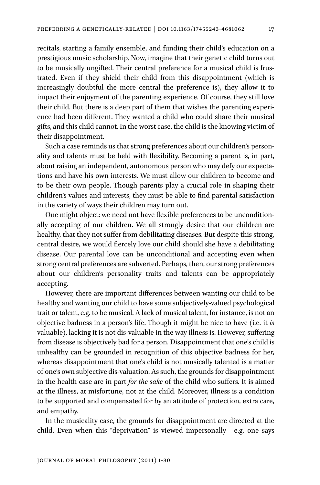recitals, starting a family ensemble, and funding their child's education on a prestigious music scholarship. Now, imagine that their genetic child turns out to be musically ungifted. Their central preference for a musical child is frustrated. Even if they shield their child from this disappointment (which is increasingly doubtful the more central the preference is), they allow it to impact their enjoyment of the parenting experience. Of course, they still love their child. But there is a deep part of them that wishes the parenting experience had been different. They wanted a child who could share their musical gifts, and this child cannot. In the worst case, the child is the knowing victim of their disappointment.

Such a case reminds us that strong preferences about our children's personality and talents must be held with flexibility. Becoming a parent is, in part, about raising an independent, autonomous person who may defy our expectations and have his own interests. We must allow our children to become and to be their own people. Though parents play a crucial role in shaping their children's values and interests, they must be able to find parental satisfaction in the variety of ways their children may turn out.

One might object: we need not have flexible preferences to be unconditionally accepting of our children. We all strongly desire that our children are healthy, that they not suffer from debilitating diseases. But despite this strong, central desire, we would fiercely love our child should she have a debilitating disease. Our parental love can be unconditional and accepting even when strong central preferences are subverted. Perhaps, then, our strong preferences about our children's personality traits and talents can be appropriately accepting.

However, there are important differences between wanting our child to be healthy and wanting our child to have some subjectively-valued psychological trait or talent, e.g. to be musical. A lack of musical talent, for instance, is not an objective badness in a person's life. Though it might be nice to have (i.e. it *is* valuable), lacking it is not dis-valuable in the way illness is. However, suffering from disease is objectively bad for a person. Disappointment that one's child is unhealthy can be grounded in recognition of this objective badness for her, whereas disappointment that one's child is not musically talented is a matter of one's own subjective dis*-*valuation. As such, the grounds for disappointment in the health case are in part *for the sake* of the child who suffers. It is aimed at the illness, at misfortune, not at the child. Moreover, illness is a condition to be supported and compensated for by an attitude of protection, extra care, and empathy.

In the musicality case, the grounds for disappointment are directed at the child. Even when this "deprivation" is viewed impersonally—e.g. one says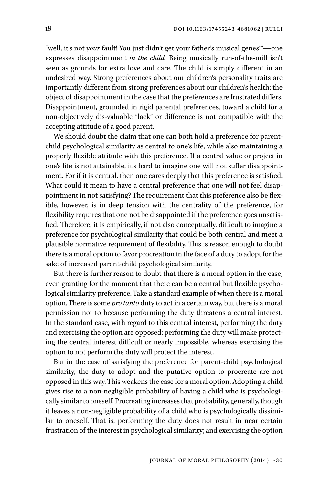"well, it's not *your* fault! You just didn't get your father's musical genes!"—one expresses disappointment *in the child.* Being musically run-of-the-mill isn't seen as grounds for extra love and care. The child is simply different in an undesired way. Strong preferences about our children's personality traits are importantly different from strong preferences about our children's health; the object of disappointment in the case that the preferences are frustrated differs. Disappointment, grounded in rigid parental preferences, toward a child for a non-objectively dis-valuable "lack" or difference is not compatible with the accepting attitude of a good parent.

We should doubt the claim that one can both hold a preference for parentchild psychological similarity as central to one's life, while also maintaining a properly flexible attitude with this preference. If a central value or project in one's life is not attainable, it's hard to imagine one will not suffer disappointment. For if it is central, then one cares deeply that this preference is satisfied. What could it mean to have a central preference that one will not feel disappointment in not satisfying? The requirement that this preference also be flexible, however, is in deep tension with the centrality of the preference, for flexibility requires that one not be disappointed if the preference goes unsatisfied. Therefore, it is empirically, if not also conceptually, difficult to imagine a preference for psychological similarity that could be both central and meet a plausible normative requirement of flexibility. This is reason enough to doubt there is a moral option to favor procreation in the face of a duty to adopt for the sake of increased parent-child psychological similarity.

But there is further reason to doubt that there is a moral option in the case, even granting for the moment that there can be a central but flexible psychological similarity preference. Take a standard example of when there is a moral option. There is some *pro tanto* duty to act in a certain way, but there is a moral permission not to because performing the duty threatens a central interest. In the standard case, with regard to this central interest, performing the duty and exercising the option are opposed: performing the duty will make protecting the central interest difficult or nearly impossible, whereas exercising the option to not perform the duty will protect the interest.

But in the case of satisfying the preference for parent-child psychological similarity, the duty to adopt and the putative option to procreate are not opposed in this way. This weakens the case for a moral option. Adopting a child gives rise to a non-negligible probability of having a child who is psychologically similar to oneself. Procreating increases that probability, generally, though it leaves a non-negligible probability of a child who is psychologically dissimilar to oneself. That is, performing the duty does not result in near certain frustration of the interest in psychological similarity; and exercising the option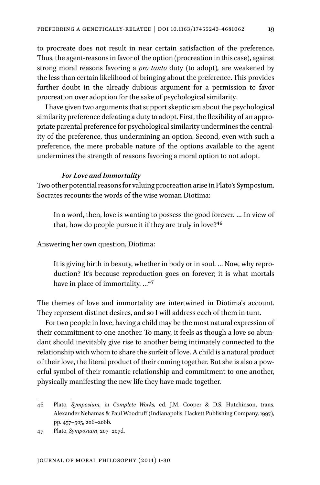to procreate does not result in near certain satisfaction of the preference. Thus, the agent-reasons in favor of the option (procreation in this case), against strong moral reasons favoring a *pro tanto* duty (to adopt)*,* are weakened by the less than certain likelihood of bringing about the preference. This provides further doubt in the already dubious argument for a permission to favor procreation over adoption for the sake of psychological similarity.

I have given two arguments that support skepticism about the psychological similarity preference defeating a duty to adopt. First, the flexibility of an appropriate parental preference for psychological similarity undermines the centrality of the preference, thus undermining an option. Second, even with such a preference, the mere probable nature of the options available to the agent undermines the strength of reasons favoring a moral option to not adopt.

#### *For Love and Immortality*

Two other potential reasons for valuing procreation arise in Plato's Symposium. Socrates recounts the words of the wise woman Diotima:

In a word, then, love is wanting to possess the good forever. … In view of that, how do people pursue it if they are truly in love?<sup>46</sup>

Answering her own question, Diotima:

It is giving birth in beauty, whether in body or in soul. … Now, why reproduction? It's because reproduction goes on forever; it is what mortals have in place of immortality. …47

The themes of love and immortality are intertwined in Diotima's account. They represent distinct desires, and so I will address each of them in turn.

For two people in love, having a child may be the most natural expression of their commitment to one another. To many, it feels as though a love so abundant should inevitably give rise to another being intimately connected to the relationship with whom to share the surfeit of love. A child is a natural product of their love, the literal product of their coming together. But she is also a powerful symbol of their romantic relationship and commitment to one another, physically manifesting the new life they have made together.

<sup>46</sup> Plato, *Symposium,* in *Complete Works,* ed. J.M. Cooper & D.S. Hutchinson, trans. Alexander Nehamas & Paul Woodruff (Indianapolis: Hackett Publishing Company, 1997), pp. 457–505, 206–206b.

<sup>47</sup> Plato, *Symposium*, 207–207d.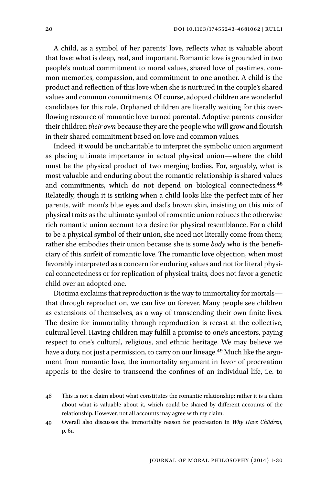A child, as a symbol of her parents' love, reflects what is valuable about that love: what is deep, real, and important. Romantic love is grounded in two people's mutual commitment to moral values, shared love of pastimes, common memories, compassion, and commitment to one another. A child is the product and reflection of this love when she is nurtured in the couple's shared values and common commitments. Of course, adopted children are wonderful candidates for this role. Orphaned children are literally waiting for this overflowing resource of romantic love turned parental. Adoptive parents consider their children *their own* because they are the people who will grow and flourish in their shared commitment based on love and common values.

Indeed, it would be uncharitable to interpret the symbolic union argument as placing ultimate importance in actual physical union—where the child must be the physical product of two merging bodies. For, arguably, what is most valuable and enduring about the romantic relationship is shared values and commitments, which do not depend on biological connectedness.<sup>48</sup> Relatedly, though it is striking when a child looks like the perfect mix of her parents, with mom's blue eyes and dad's brown skin, insisting on this mix of physical traits as the ultimate symbol of romantic union reduces the otherwise rich romantic union account to a desire for physical resemblance. For a child to be a physical symbol of their union, she need not literally come from them; rather she embodies their union because she is some *body* who is the beneficiary of this surfeit of romantic love. The romantic love objection, when most favorably interpreted as a concern for enduring values and not for literal physical connectedness or for replication of physical traits, does not favor a genetic child over an adopted one.

Diotima exclaims that reproduction is the way to immortality for mortals that through reproduction, we can live on forever. Many people see children as extensions of themselves, as a way of transcending their own finite lives. The desire for immortality through reproduction is recast at the collective, cultural level. Having children may fulfill a promise to one's ancestors, paying respect to one's cultural, religious, and ethnic heritage. We may believe we have a duty, not just a permission, to carry on our lineage.<sup>49</sup> Much like the argument from romantic love, the immortality argument in favor of procreation appeals to the desire to transcend the confines of an individual life, i.e. to

<sup>48</sup> This is not a claim about what constitutes the romantic relationship; rather it is a claim about what is valuable about it, which could be shared by different accounts of the relationship. However, not all accounts may agree with my claim.

<sup>49</sup> Overall also discusses the immortality reason for procreation in *Why Have Children,* p. 61.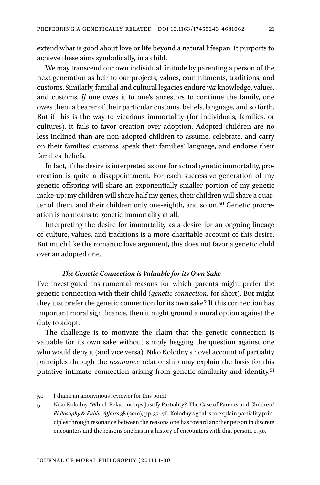extend what is good about love or life beyond a natural lifespan. It purports to achieve these aims symbolically, in a child.

We may transcend our own individual finitude by parenting a person of the next generation as heir to our projects, values, commitments, traditions, and customs. Similarly, familial and cultural legacies endure *via* knowledge, values, and customs. *If* one owes it to one's ancestors to continue the family, one owes them a bearer of their particular customs, beliefs, language, and so forth. But if this is the way to vicarious immortality (for individuals, families, or cultures), it fails to favor creation over adoption. Adopted children are no less inclined than are non-adopted children to assume, celebrate, and carry on their families' customs, speak their families' language, and endorse their families' beliefs.

In fact, if the desire is interpreted as one for actual genetic immortality, procreation is quite a disappointment. For each successive generation of my genetic offspring will share an exponentially smaller portion of my genetic make-up: my children will share half my genes, their children will share a quarter of them, and their children only one-eighth, and so on.<sup>50</sup> Genetic procreation is no means to genetic immortality at all.

Interpreting the desire for immortality as a desire for an ongoing lineage of culture, values, and traditions is a more charitable account of this desire. But much like the romantic love argument, this does not favor a genetic child over an adopted one.

#### *The Genetic Connection is Valuable for its Own Sake*

I've investigated instrumental reasons for which parents might prefer the genetic connection with their child (*genetic connection,* for short). But might they just prefer the genetic connection for its own sake? If this connection has important moral significance, then it might ground a moral option against the duty to adopt.

The challenge is to motivate the claim that the genetic connection is valuable for its own sake without simply begging the question against one who would deny it (and vice versa). Niko Kolodny's novel account of partiality principles through the *resonance* relationship may explain the basis for this putative intimate connection arising from genetic similarity and identity.<sup>51</sup>

<sup>50</sup> I thank an anonymous reviewer for this point.

<sup>51</sup> Niko Kolodny, 'Which Relationships Justify Partiality?: The Case of Parents and Children,' *Philosophy & Public Affairs* 38 (2010), pp. 37–76. Kolodny's goal is to explain partiality principles through resonance between the reasons one has toward another person in discrete encounters and the reasons one has in a history of encounters with that person, p. 50.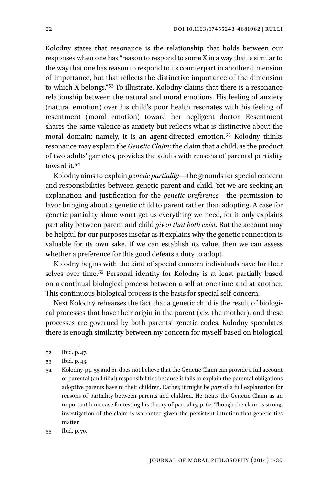Kolodny states that resonance is the relationship that holds between our responses when one has "reason to respond to some X in a way that is similar to the way that one has reason to respond to its counterpart in another dimension of importance, but that reflects the distinctive importance of the dimension to which X belongs."52 To illustrate, Kolodny claims that there is a resonance relationship between the natural and moral emotions. His feeling of anxiety (natural emotion) over his child's poor health resonates with his feeling of resentment (moral emotion) toward her negligent doctor. Resentment shares the same valence as anxiety but reflects what is distinctive about the moral domain; namely, it is an agent-directed emotion.53 Kolodny thinks resonance may explain the *Genetic Claim*: the claim that a child, as the product of two adults' gametes, provides the adults with reasons of parental partiality toward it.<sup>54</sup>

Kolodny aims to explain *genetic partiality—*the grounds for special concern and responsibilities between genetic parent and child. Yet we are seeking an explanation and justification for the *genetic preference—*the permission to favor bringing about a genetic child to parent rather than adopting. A case for genetic partiality alone won't get us everything we need, for it only explains partiality between parent and child *given that both exist*. But the account may be helpful for our purposes insofar as it explains why the genetic connection is valuable for its own sake. If we can establish its value, then we can assess whether a preference for this good defeats a duty to adopt*.*

Kolodny begins with the kind of special concern individuals have for their selves over time.55 Personal identity for Kolodny is at least partially based on a continual biological process between a self at one time and at another. This continuous biological process is the basis for special self-concern.

Next Kolodny rehearses the fact that a genetic child is the result of biological processes that have their origin in the parent (viz. the mother), and these processes are governed by both parents' genetic codes. Kolodny speculates there is enough similarity between my concern for myself based on biological

54 Kolodny, pp. 55 and 61, does not believe that the Genetic Claim can provide a full account of parental (and filial) responsibilities because it fails to explain the parental obligations adoptive parents have to their children. Rather, it might be *part* of a full explanation for reasons of partiality between parents and children. He treats the Genetic Claim as an important limit case for testing his theory of partiality, p. 62. Though the claim is strong, investigation of the claim is warranted given the persistent intuition that genetic ties matter.

<sup>52</sup> Ibid. p. 47.

<sup>53</sup> Ibid. p. 43.

<sup>55</sup> Ibid. p. 70.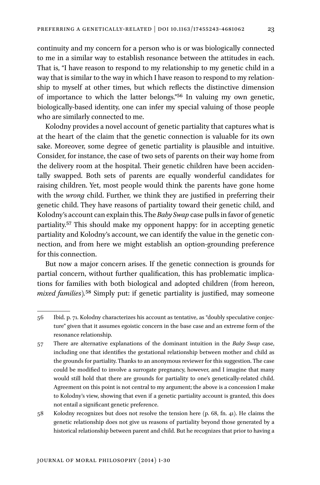continuity and my concern for a person who is or was biologically connected to me in a similar way to establish resonance between the attitudes in each. That is, "I have reason to respond to my relationship to my genetic child in a way that is similar to the way in which I have reason to respond to my relationship to myself at other times, but which reflects the distinctive dimension of importance to which the latter belongs."56 In valuing my own genetic, biologically-based identity, one can infer my special valuing of those people who are similarly connected to me.

Kolodny provides a novel account of genetic partiality that captures what is at the heart of the claim that the genetic connection is valuable for its own sake. Moreover, some degree of genetic partiality is plausible and intuitive. Consider, for instance, the case of two sets of parents on their way home from the delivery room at the hospital. Their genetic children have been accidentally swapped. Both sets of parents are equally wonderful candidates for raising children. Yet, most people would think the parents have gone home with the *wrong* child. Further, we think they are justified in preferring their genetic child. They have reasons of partiality toward their genetic child, and Kolodny's account can explain this. The *Baby Swap* case pulls in favor of genetic partiality.57 This should make my opponent happy: for in accepting genetic partiality and Kolodny's account, we can identify the value in the genetic connection, and from here we might establish an option-grounding preference for this connection.

But now a major concern arises. If the genetic connection is grounds for partial concern, without further qualification, this has problematic implications for families with both biological and adopted children (from hereon, *mixed families).*58 Simply put: if genetic partiality is justified, may someone

58 Kolodny recognizes but does not resolve the tension here (p. 68, fn. 41). He claims the genetic relationship does not give us reasons of partiality beyond those generated by a historical relationship between parent and child. But he recognizes that prior to having a

<sup>56</sup> Ibid. p. 71. Kolodny characterizes his account as tentative, as "doubly speculative conjecture" given that it assumes egoistic concern in the base case and an extreme form of the resonance relationship.

<sup>57</sup> There are alternative explanations of the dominant intuition in the *Baby Swap* case, including one that identifies the gestational relationship between mother and child as the grounds for partiality. Thanks to an anonymous reviewer for this suggestion. The case could be modified to involve a surrogate pregnancy, however, and I imagine that many would still hold that there are grounds for partiality to one's genetically-related child. Agreement on this point is not central to my argument; the above is a concession I make to Kolodny's view, showing that even if a genetic partiality account is granted, this does not entail a significant genetic preference.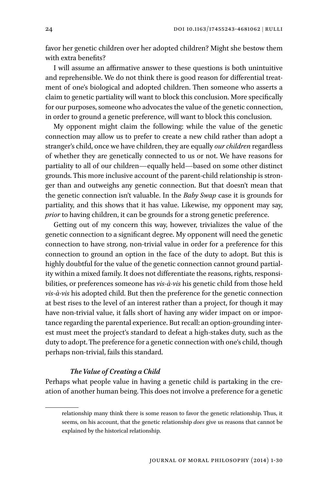favor her genetic children over her adopted children? Might she bestow them with extra benefits?

I will assume an affirmative answer to these questions is both unintuitive and reprehensible. We do not think there is good reason for differential treatment of one's biological and adopted children. Then someone who asserts a claim to genetic partiality will want to block this conclusion. More specifically for our purposes, someone who advocates the value of the genetic connection, in order to ground a genetic preference, will want to block this conclusion.

My opponent might claim the following: while the value of the genetic connection may allow us to prefer to create a new child rather than adopt a stranger's child, once we have children, they are equally *our children* regardless of whether they are genetically connected to us or not. We have reasons for partiality to all of our children—equally held—based on some other distinct grounds. This more inclusive account of the parent-child relationship is stronger than and outweighs any genetic connection. But that doesn't mean that the genetic connection isn't valuable. In the *Baby Swap* case it is grounds for partiality, and this shows that it has value. Likewise, my opponent may say, *prior* to having children, it can be grounds for a strong genetic preference.

Getting out of my concern this way, however, trivializes the value of the genetic connection to a significant degree. My opponent will need the genetic connection to have strong, non-trivial value in order for a preference for this connection to ground an option in the face of the duty to adopt. But this is highly doubtful for the value of the genetic connection cannot ground partiality within a mixed family. It does not differentiate the reasons, rights, responsibilities, or preferences someone has *vis-à-vis* his genetic child from those held *vis-à-vis* his adopted child. But then the preference for the genetic connection at best rises to the level of an interest rather than a project, for though it may have non-trivial value, it falls short of having any wider impact on or importance regarding the parental experience. But recall: an option-grounding interest must meet the project's standard to defeat a high-stakes duty, such as the duty to adopt. The preference for a genetic connection with one's child, though perhaps non-trivial, fails this standard.

#### *The Value of Creating a Child*

Perhaps what people value in having a genetic child is partaking in the creation of another human being. This does not involve a preference for a genetic

relationship many think there is some reason to favor the genetic relationship. Thus, it seems, on his account, that the genetic relationship *does* give us reasons that cannot be explained by the historical relationship.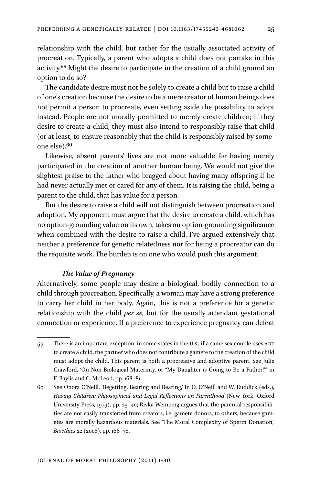relationship with the child, but rather for the usually associated activity of procreation. Typically, a parent who adopts a child does not partake in this activity.59 Might the desire to participate in the creation of a child ground an option to do so?

The candidate desire must not be solely to create a child but to raise a child of one's creation because the desire to be a mere creator of human beings does not permit a person to procreate, even setting aside the possibility to adopt instead. People are not morally permitted to merely create children; if they desire to create a child, they must also intend to responsibly raise that child (or at least, to ensure reasonably that the child is responsibly raised by someone else).60

Likewise, absent parents' lives are not more valuable for having merely participated in the creation of another human being. We would not give the slightest praise to the father who bragged about having many offspring if he had never actually met or cared for any of them. It is raising the child, being a parent to the child, that has value for a person.

But the desire to raise a child will not distinguish between procreation and adoption. My opponent must argue that the desire to create a child, which has no option-grounding value on its own, takes on option-grounding significance when combined with the desire to raise a child. I've argued extensively that neither a preference for genetic relatedness nor for being a procreator can do the requisite work. The burden is on one who would push this argument.

#### *The Value of Pregnancy*

Alternatively, some people may desire a biological, bodily connection to a child through procreation. Specifically, a woman may have a strong preference to carry her child in her body. Again, this is not a preference for a genetic relationship with the child *per se,* but for the usually attendant gestational connection or experience. If a preference to experience pregnancy can defeat

<sup>59</sup> There is an important exception: in some states in the u.s., if a same sex couple uses art to create a child, the partner who does not contribute a gamete to the creation of the child must adopt the child. This parent is both a procreative and adoptive parent. See Julie Crawford, 'On Non-Biological Maternity, or "My Daughter is Going to Be a Father!",' in F. Baylis and C. McLeod, pp. 168–81.

<sup>60</sup> See Onora O'Neill, 'Begetting, Bearing and Rearing,' in O. O'Neill and W. Ruddick (eds.), *Having Children: Philosophical and Legal Reflections on Parenthood* (New York: Oxford University Press, 1979), pp. 25–40; Rivka Weinberg argues that the parental responsibilities are not easily transferred from creators, i.e. gamete donors, to others, because gametes are morally hazardous materials. See 'The Moral Complexity of Sperm Donation,' *Bioethics* 22 (2008), pp. 166–78.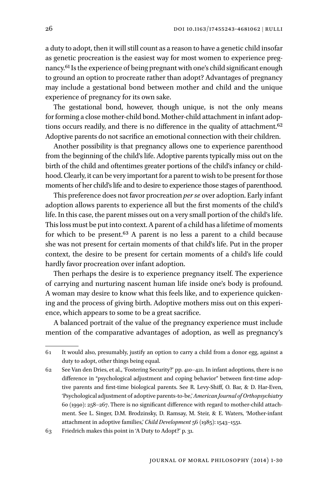a duty to adopt, then it will still count as a reason to have a genetic child insofar as genetic procreation is the easiest way for most women to experience pregnancy.61 Is the experience of being pregnant with one's child significant enough to ground an option to procreate rather than adopt? Advantages of pregnancy may include a gestational bond between mother and child and the unique experience of pregnancy for its own sake.

The gestational bond, however, though unique, is not the only means for forming a close mother-child bond. Mother-child attachment in infant adoptions occurs readily, and there is no difference in the quality of attachment.<sup>62</sup> Adoptive parents do not sacrifice an emotional connection with their children.

Another possibility is that pregnancy allows one to experience parenthood from the beginning of the child's life. Adoptive parents typically miss out on the birth of the child and oftentimes greater portions of the child's infancy or childhood. Clearly, it can be very important for a parent to wish to be present for those moments of her child's life and to desire to experience those stages of parenthood.

This preference does not favor procreation *per se* over adoption. Early infant adoption allows parents to experience all but the first moments of the child's life. In this case, the parent misses out on a very small portion of the child's life. This loss must be put into context. A parent of a child has a lifetime of moments for which to be present. $63$  A parent is no less a parent to a child because she was not present for certain moments of that child's life. Put in the proper context, the desire to be present for certain moments of a child's life could hardly favor procreation over infant adoption.

Then perhaps the desire is to experience pregnancy itself. The experience of carrying and nurturing nascent human life inside one's body is profound. A woman may desire to know what this feels like, and to experience quickening and the process of giving birth. Adoptive mothers miss out on this experience, which appears to some to be a great sacrifice.

A balanced portrait of the value of the pregnancy experience must include mention of the comparative advantages of adoption, as well as pregnancy's

<sup>61</sup> It would also, presumably, justify an option to carry a child from a donor egg, against a duty to adopt, other things being equal.

<sup>62</sup> See Van den Dries, et al., 'Fostering Security?' pp. 410–421. In infant adoptions, there is no difference in "psychological adjustment and coping behavior" between first-time adoptive parents and first-time biological parents. See R. Levy-Shiff, O. Bar, & D. Har-Even, 'Psychological adjustment of adoptive parents-to-be,' *American Journal of Orthopsychiatry* 60 (1990): 258–267. There is no significant difference with regard to mother-child attachment. See L. Singer, D.M. Brodzinsky, D. Ramsay, M. Steir, & E. Waters, 'Mother-infant attachment in adoptive families,' *Child Development* 56 (1985): 1543–1551.

<sup>63</sup> Friedrich makes this point in 'A Duty to Adopt?' p. 31.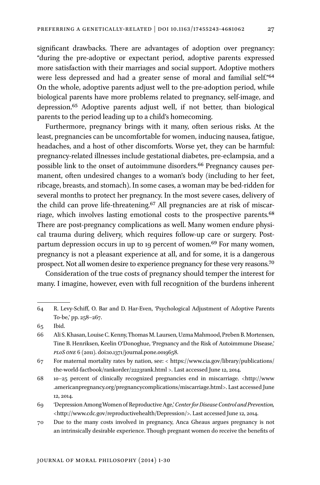significant drawbacks. There are advantages of adoption over pregnancy: "during the pre-adoptive or expectant period, adoptive parents expressed more satisfaction with their marriages and social support. Adoptive mothers were less depressed and had a greater sense of moral and familial self."64 On the whole, adoptive parents adjust well to the pre-adoption period, while biological parents have more problems related to pregnancy, self-image, and depression.65 Adoptive parents adjust well, if not better, than biological parents to the period leading up to a child's homecoming.

Furthermore, pregnancy brings with it many, often serious risks. At the least, pregnancies can be uncomfortable for women, inducing nausea, fatigue, headaches, and a host of other discomforts. Worse yet, they can be harmful: pregnancy-related illnesses include gestational diabetes, pre-eclampsia, and a possible link to the onset of autoimmune disorders.<sup>66</sup> Pregnancy causes permanent, often undesired changes to a woman's body (including to her feet, ribcage, breasts, and stomach). In some cases, a woman may be bed-ridden for several months to protect her pregnancy. In the most severe cases, delivery of the child can prove life-threatening.<sup>67</sup> All pregnancies are at risk of miscarriage, which involves lasting emotional costs to the prospective parents.<sup>68</sup> There are post-pregnancy complications as well. Many women endure physical trauma during delivery, which requires follow-up care or surgery. Postpartum depression occurs in up to 19 percent of women.<sup>69</sup> For many women, pregnancy is not a pleasant experience at all, and for some, it is a dangerous prospect. Not all women desire to experience pregnancy for these very reasons.<sup>70</sup>

Consideration of the true costs of pregnancy should temper the interest for many. I imagine, however, even with full recognition of the burdens inherent

<sup>64</sup> R. Levy-Schiff, O. Bar and D. Har-Even, 'Psychological Adjustment of Adoptive Parents To-be,' pp. 258–267.

<sup>65</sup> Ibid.

<sup>66</sup> Ali S. Khasan, Louise C. Kenny, Thomas M. Laursen, Uzma Mahmood, Preben B. Mortensen, Tine B. Henriksen, Keelin O'Donoghue, 'Pregnancy and the Risk of Autoimmune Disease,' *ploS one* 6 (2011). doi:10.1371/journal.pone.0019658.

<sup>67</sup> For maternal mortality rates by nation, see: < [https://www.cia.gov/library/publication](https://www.cia.gov/library/publications/the-world-factbook/rankorder/2223rank.html)s/ [the-world-factbook/rankorder/2223rank.html](https://www.cia.gov/library/publications/the-world-factbook/rankorder/2223rank.html) >. Last accessed June 12, 2014.

<sup>68</sup> 10–25 percent of clinically recognized pregnancies end in miscarriage. <[http://www](http://www.americanpregnancy.org/pregnancycomplications/miscarriage.html) [.americanpregnancy.org/pregnancycomplications/miscarriage.html>](http://www.americanpregnancy.org/pregnancycomplications/miscarriage.html). Last accessed June 12, 2014.

<sup>69</sup> 'Depression Among Women of Reproductive Age,' *Center for Disease Control and Prevention,* [<http://www.cdc.gov/reproductivehealth/Depression/>](http://www.cdc.gov/reproductivehealth/Depression/). Last accessed June 12, 2014.

<sup>70</sup> Due to the many costs involved in pregnancy, Anca Gheaus argues pregnancy is not an intrinsically desirable experience. Though pregnant women do receive the benefits of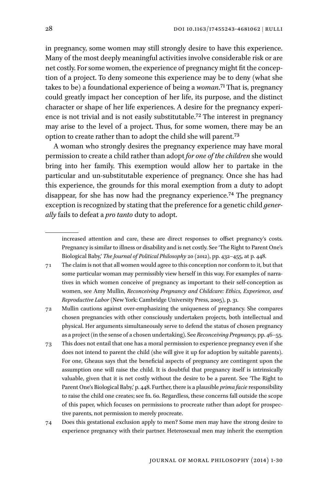in pregnancy, some women may still strongly desire to have this experience. Many of the most deeply meaningful activities involve considerable risk or are net costly. For some women, the experience of pregnancy might fit the conception of a project. To deny someone this experience may be to deny (what she takes to be) a foundational experience of being a *woman*.71 That is, pregnancy could greatly impact her conception of her life, its purpose, and the distinct character or shape of her life experiences. A desire for the pregnancy experience is not trivial and is not easily substitutable.72 The interest in pregnancy may arise to the level of a project. Thus, for some women, there may be an option to create rather than to adopt the child she will parent.73

A woman who strongly desires the pregnancy experience may have moral permission to create a child rather than adopt *for one of the children* she would bring into her family. This exemption would allow her to partake in the particular and un-substitutable experience of pregnancy. Once she has had this experience, the grounds for this moral exemption from a duty to adopt disappear, for she has now had the pregnancy experience.<sup>74</sup> The pregnancy exception is recognized by stating that the preference for a genetic child *generally* fails to defeat a *pro tanto* duty to adopt.

increased attention and care, these are direct responses to offset pregnancy's costs. Pregnancy is similar to illness or disability and is net costly. See 'The Right to Parent One's Biological Baby,' *The Journal of Political Philosophy* 20 (2012), pp. 432–455, at p. 448.

<sup>71</sup> The claim is not that all women would agree to this conception nor conform to it, but that some particular woman may permissibly view herself in this way. For examples of narratives in which women conceive of pregnancy as important to their self-conception as women, see Amy Mullin, *Reconceiving Pregnancy and Childcare: Ethics, Experience, and Reproductive Labor* (New York: Cambridge University Press, 2005), p. 31.

<sup>72</sup> Mullin cautions against over-emphasizing the uniqueness of pregnancy. She compares chosen pregnancies with other consciously undertaken projects, both intellectual and physical. Her arguments simultaneously serve to defend the status of chosen pregnancy as a project (in the sense of a chosen undertaking). See *Reconceiving Pregnancy,* pp. 46–55.

<sup>73</sup> This does not entail that one has a moral permission to experience pregnancy even if she does not intend to parent the child (she will give it up for adoption by suitable parents). For one, Gheaus says that the beneficial aspects of pregnancy are contingent upon the assumption one will raise the child. It is doubtful that pregnancy itself is intrinsically valuable, given that it is net costly without the desire to be a parent. See 'The Right to Parent One's Biological Baby,' p. 448. Further, there is a plausible *prima facie* responsibility to raise the child one creates; see fn. 60. Regardless, these concerns fall outside the scope of this paper, which focuses on permissions to procreate rather than adopt for prospective parents, not permission to merely procreate.

<sup>74</sup> Does this gestational exclusion apply to men? Some men may have the strong desire to experience pregnancy with their partner. Heterosexual men may inherit the exemption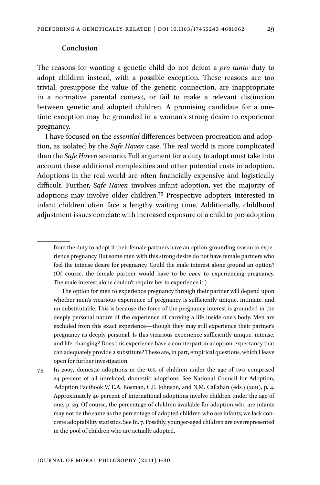### **Conclusion**

The reasons for wanting a genetic child do not defeat a *pro tanto* duty to adopt children instead, with a possible exception. These reasons are too trivial, presuppose the value of the genetic connection, are inappropriate in a normative parental context, or fail to make a relevant distinction between genetic and adopted children. A promising candidate for a onetime exception may be grounded in a woman's strong desire to experience pregnancy.

I have focused on the *essential* differences between procreation and adoption, as isolated by the *Safe Haven* case. The real world is more complicated than the *Safe Haven* scenario. Full argument for a duty to adopt must take into account these additional complexities and other potential costs in adoption. Adoptions in the real world are often financially expensive and logistically difficult. Further, *Safe Haven* involves infant adoption, yet the majority of adoptions may involve older children.75 Prospective adopters interested in infant children often face a lengthy waiting time. Additionally, childhood adjustment issues correlate with increased exposure of a child to pre-adoption

75 In 2007, domestic adoptions in the u.s. of children under the age of two comprised 24 percent of all unrelated, domestic adoptions. See National Council for Adoption, 'Adoption Factbook V,' E.A. Rosman, C.E. Johnson, and N.M. Callahan (eds.) (2011), p. 4. Approximately 40 percent of international adoptions involve children under the age of one, p. 29. Of course, the percentage of children available for adoption who are infants may not be the same as the percentage of adopted children who are infants; we lack concrete adoptability statistics. See fn. 7. Possibly, younger-aged children are overrepresented in the pool of children who are actually adopted.

from the duty to adopt if their female partners have an option-grounding reason to experience pregnancy. But some men with this strong desire do not have female partners who feel the intense desire for pregnancy. Could the male interest alone ground an option? (Of course, the female partner would have to be *open* to experiencing pregnancy. The male interest alone couldn't require her to experience it.)

The option for men to experience pregnancy through their partner will depend upon whether men's vicarious experience of pregnancy is sufficiently unique, intimate, and un-substitutable. This is because the force of the pregnancy interest is grounded in the deeply personal nature of the experience of carrying a life inside one's body. Men are excluded from this exact experience—though they may still experience their partner's pregnancy as deeply personal. Is this vicarious experience sufficiently unique, intense, and life-changing? Does this experience have a counterpart in adoption-expectancy that can adequately provide a substitute? These are, in part, empirical questions, which I leave open for further investigation.